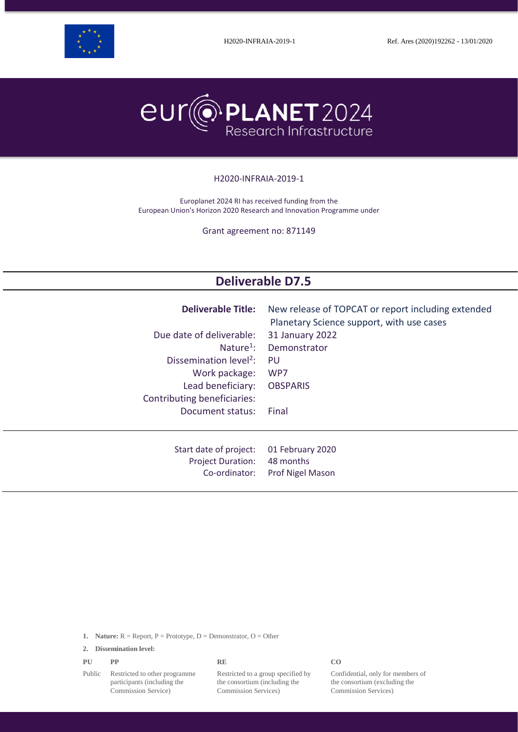



#### H2020-INFRAIA-2019-1

Europlanet 2024 RI has received funding from the European Union's Horizon 2020 Research and Innovation Programme under

Grant agreement no: 871149

# **Deliverable D7.5**

| <b>Deliverable Title:</b>                                           | New release of TOPCAT or report including extended<br>Planetary Science support, with use cases |
|---------------------------------------------------------------------|-------------------------------------------------------------------------------------------------|
| Due date of deliverable:                                            | 31 January 2022                                                                                 |
| Nature <sup>1</sup> :                                               | Demonstrator                                                                                    |
| Dissemination level <sup>2</sup> :                                  | PU                                                                                              |
| Work package:                                                       | WP7                                                                                             |
| Lead beneficiary:                                                   | <b>OBSPARIS</b>                                                                                 |
| Contributing beneficiaries:                                         |                                                                                                 |
| Document status:                                                    | Final                                                                                           |
|                                                                     |                                                                                                 |
| Start date of project:<br><b>Project Duration:</b><br>Co-ordinator: | 01 February 2020<br>48 months<br>Prof Nigel Mason                                               |

**1. Nature:**  $R =$  Report,  $P =$  Prototype,  $D =$  Demonstrator,  $O =$  Other

**2. Dissemination level:**

|  | PU | <b>PP</b> | <b>RE</b> | CO |
|--|----|-----------|-----------|----|
|--|----|-----------|-----------|----|

Public Restricted to other programme participants (including the Commission Service)

Restricted to a group specified by the consortium (including the Commission Services)

Confidential, only for members of the consortium (excluding the Commission Services)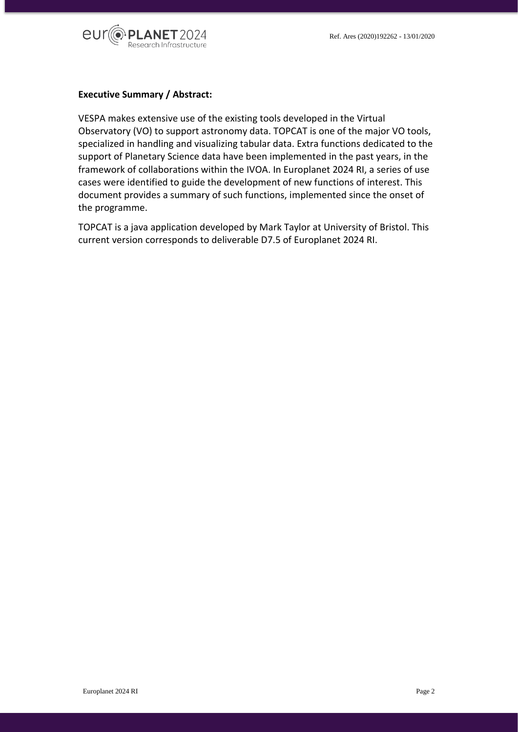

#### **Executive Summary / Abstract:**

VESPA makes extensive use of the existing tools developed in the Virtual Observatory (VO) to support astronomy data. TOPCAT is one of the major VO tools, specialized in handling and visualizing tabular data. Extra functions dedicated to the support of Planetary Science data have been implemented in the past years, in the framework of collaborations within the IVOA. In Europlanet 2024 RI, a series of use cases were identified to guide the development of new functions of interest. This document provides a summary of such functions, implemented since the onset of the programme.

TOPCAT is a java application developed by Mark Taylor at University of Bristol. This current version corresponds to deliverable D7.5 of Europlanet 2024 RI.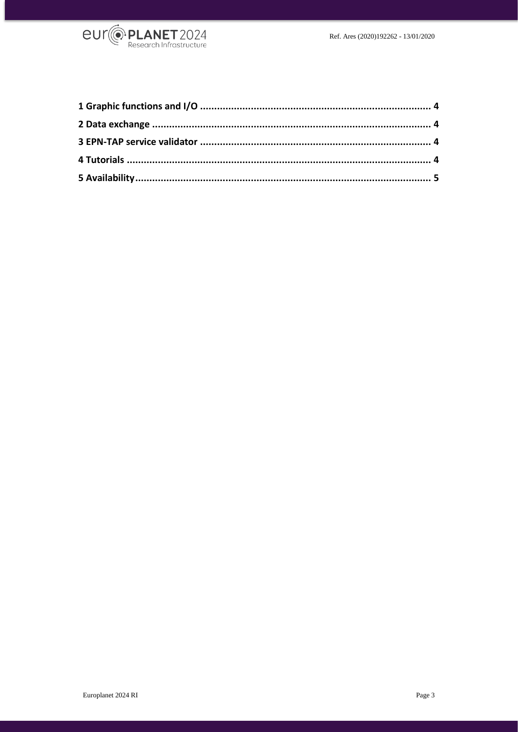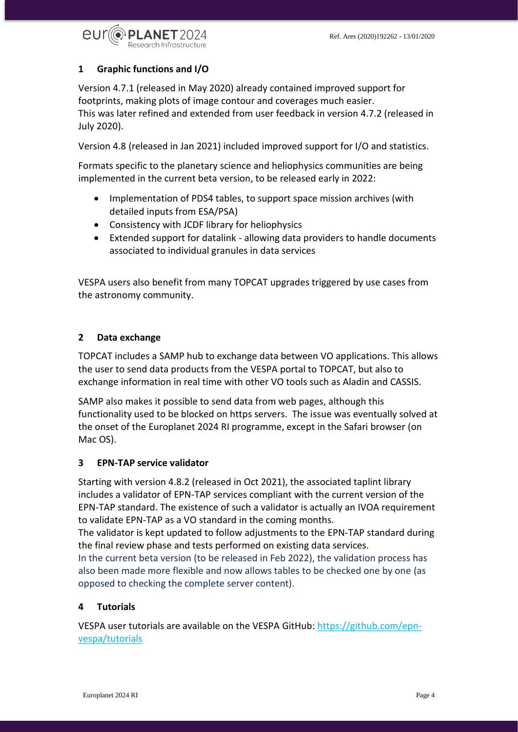

## <span id="page-3-0"></span>**1 Graphic functions and I/O**

Version 4.7.1 (released in May 2020) already contained improved support for footprints, making plots of image contour and coverages much easier. This was later refined and extended from user feedback in version 4.7.2 (released in July 2020).

Version 4.8 (released in Jan 2021) included improved support for I/O and statistics.

Formats specific to the planetary science and heliophysics communities are being implemented in the current beta version, to be released early in 2022:

- Implementation of PDS4 tables, to support space mission archives (with detailed inputs from ESA/PSA)
- Consistency with JCDF library for heliophysics
- Extended support for datalink allowing data providers to handle documents associated to individual granules in data services

VESPA users also benefit from many TOPCAT upgrades triggered by use cases from the astronomy community.

### <span id="page-3-1"></span>**2 Data exchange**

TOPCAT includes a SAMP hub to exchange data between VO applications. This allows the user to send data products from the VESPA portal to TOPCAT, but also to exchange information in real time with other VO tools such as Aladin and CASSIS.

SAMP also makes it possible to send data from web pages, although this functionality used to be blocked on https servers. The issue was eventually solved at the onset of the Europlanet 2024 RI programme, except in the Safari browser (on Mac OS).

#### <span id="page-3-2"></span>**3 EPN-TAP service validator**

Starting with version 4.8.2 (released in Oct 2021), the associated taplint library includes a validator of EPN-TAP services compliant with the current version of the EPN-TAP standard. The existence of such a validator is actually an IVOA requirement to validate EPN-TAP as a VO standard in the coming months.

The validator is kept updated to follow adjustments to the EPN-TAP standard during the final review phase and tests performed on existing data services.

In the current beta version (to be released in Feb 2022), the validation process has also been made more flexible and now allows tables to be checked one by one (as opposed to checking the complete server content).

## <span id="page-3-3"></span>**4 Tutorials**

VESPA user tutorials are available on the VESPA GitHub[: https://github.com/epn](https://github.com/epn-vespa/tutorials)[vespa/tutorials](https://github.com/epn-vespa/tutorials)